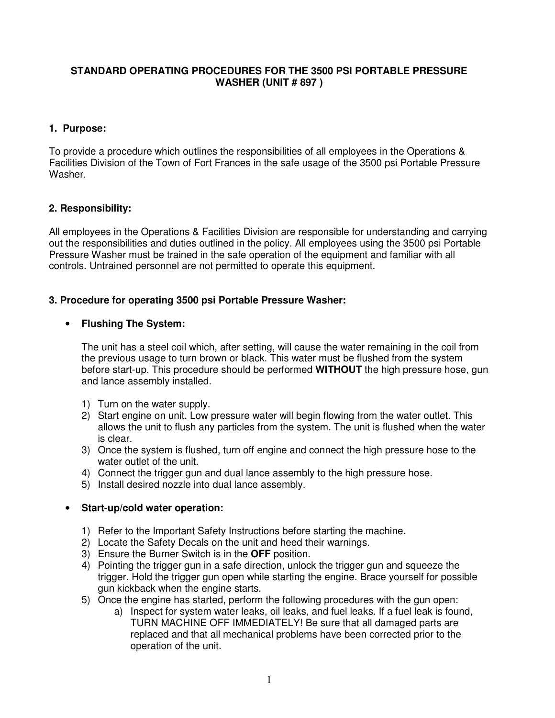#### **STANDARD OPERATING PROCEDURES FOR THE 3500 PSI PORTABLE PRESSURE WASHER (UNIT # 897 )**

#### **1. Purpose:**

To provide a procedure which outlines the responsibilities of all employees in the Operations & Facilities Division of the Town of Fort Frances in the safe usage of the 3500 psi Portable Pressure Washer.

## **2. Responsibility:**

All employees in the Operations & Facilities Division are responsible for understanding and carrying out the responsibilities and duties outlined in the policy. All employees using the 3500 psi Portable Pressure Washer must be trained in the safe operation of the equipment and familiar with all controls. Untrained personnel are not permitted to operate this equipment.

### **3. Procedure for operating 3500 psi Portable Pressure Washer:**

### • **Flushing The System:**

The unit has a steel coil which, after setting, will cause the water remaining in the coil from the previous usage to turn brown or black. This water must be flushed from the system before start-up. This procedure should be performed **WITHOUT** the high pressure hose, gun and lance assembly installed.

- 1) Turn on the water supply.
- 2) Start engine on unit. Low pressure water will begin flowing from the water outlet. This allows the unit to flush any particles from the system. The unit is flushed when the water is clear.
- 3) Once the system is flushed, turn off engine and connect the high pressure hose to the water outlet of the unit.
- 4) Connect the trigger gun and dual lance assembly to the high pressure hose.
- 5) Install desired nozzle into dual lance assembly.

#### • **Start-up/cold water operation:**

- 1) Refer to the Important Safety Instructions before starting the machine.
- 2) Locate the Safety Decals on the unit and heed their warnings.
- 3) Ensure the Burner Switch is in the **OFF** position.
- 4) Pointing the trigger gun in a safe direction, unlock the trigger gun and squeeze the trigger. Hold the trigger gun open while starting the engine. Brace yourself for possible gun kickback when the engine starts.
- 5) Once the engine has started, perform the following procedures with the gun open:
	- a) Inspect for system water leaks, oil leaks, and fuel leaks. If a fuel leak is found, TURN MACHINE OFF IMMEDIATELY! Be sure that all damaged parts are replaced and that all mechanical problems have been corrected prior to the operation of the unit.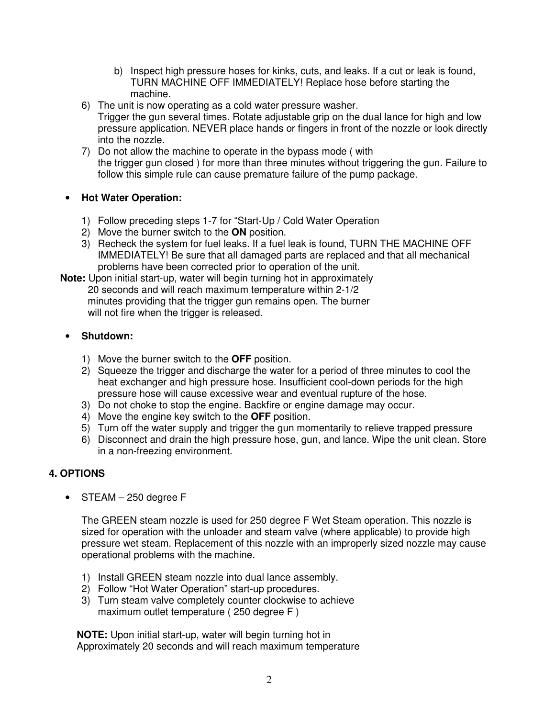- b) Inspect high pressure hoses for kinks, cuts, and leaks. If a cut or leak is found, TURN MACHINE OFF IMMEDIATELY! Replace hose before starting the machine.
- 6) The unit is now operating as a cold water pressure washer.
- Trigger the gun several times. Rotate adjustable grip on the dual lance for high and low pressure application. NEVER place hands or fingers in front of the nozzle or look directly into the nozzle.
- 7) Do not allow the machine to operate in the bypass mode ( with the trigger gun closed ) for more than three minutes without triggering the gun. Failure to follow this simple rule can cause premature failure of the pump package.

## • **Hot Water Operation:**

- 1) Follow preceding steps 1-7 for "Start-Up / Cold Water Operation
- 2) Move the burner switch to the **ON** position.
- 3) Recheck the system for fuel leaks. If a fuel leak is found, TURN THE MACHINE OFF IMMEDIATELY! Be sure that all damaged parts are replaced and that all mechanical problems have been corrected prior to operation of the unit.

 **Note:** Upon initial start-up, water will begin turning hot in approximately 20 seconds and will reach maximum temperature within 2-1/2 minutes providing that the trigger gun remains open. The burner will not fire when the trigger is released.

## • **Shutdown:**

- 1) Move the burner switch to the **OFF** position.
- 2) Squeeze the trigger and discharge the water for a period of three minutes to cool the heat exchanger and high pressure hose. Insufficient cool-down periods for the high pressure hose will cause excessive wear and eventual rupture of the hose.
- 3) Do not choke to stop the engine. Backfire or engine damage may occur.
- 4) Move the engine key switch to the **OFF** position.
- 5) Turn off the water supply and trigger the gun momentarily to relieve trapped pressure
- 6) Disconnect and drain the high pressure hose, gun, and lance. Wipe the unit clean. Store in a non-freezing environment.

## **4. OPTIONS**

• STEAM – 250 degree F

The GREEN steam nozzle is used for 250 degree F Wet Steam operation. This nozzle is sized for operation with the unloader and steam valve (where applicable) to provide high pressure wet steam. Replacement of this nozzle with an improperly sized nozzle may cause operational problems with the machine.

- 1) Install GREEN steam nozzle into dual lance assembly.
- 2) Follow "Hot Water Operation" start-up procedures.
- 3) Turn steam valve completely counter clockwise to achieve maximum outlet temperature ( 250 degree F )

 **NOTE:** Upon initial start-up, water will begin turning hot in Approximately 20 seconds and will reach maximum temperature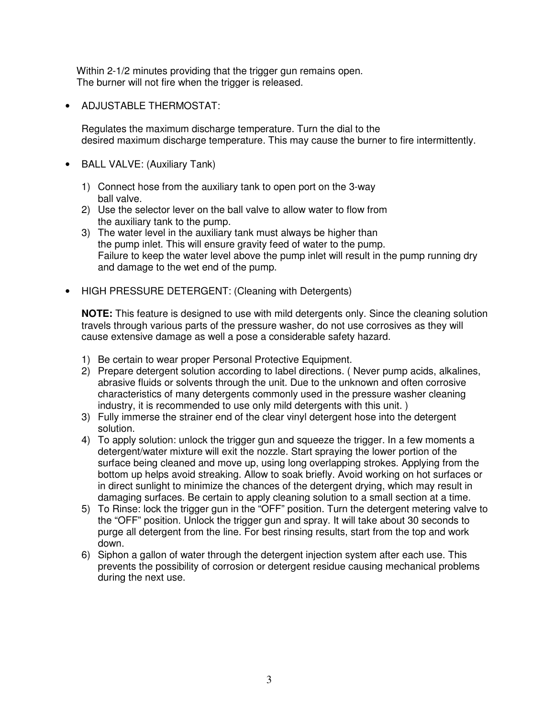Within 2-1/2 minutes providing that the trigger gun remains open. The burner will not fire when the trigger is released.

• ADJUSTABLE THERMOSTAT:

Regulates the maximum discharge temperature. Turn the dial to the desired maximum discharge temperature. This may cause the burner to fire intermittently.

- BALL VALVE: (Auxiliary Tank)
	- 1) Connect hose from the auxiliary tank to open port on the 3-way ball valve.
	- 2) Use the selector lever on the ball valve to allow water to flow from the auxiliary tank to the pump.
	- 3) The water level in the auxiliary tank must always be higher than the pump inlet. This will ensure gravity feed of water to the pump. Failure to keep the water level above the pump inlet will result in the pump running dry and damage to the wet end of the pump.
- HIGH PRESSURE DETERGENT: (Cleaning with Detergents)

**NOTE:** This feature is designed to use with mild detergents only. Since the cleaning solution travels through various parts of the pressure washer, do not use corrosives as they will cause extensive damage as well a pose a considerable safety hazard.

- 1) Be certain to wear proper Personal Protective Equipment.
- 2) Prepare detergent solution according to label directions. ( Never pump acids, alkalines, abrasive fluids or solvents through the unit. Due to the unknown and often corrosive characteristics of many detergents commonly used in the pressure washer cleaning industry, it is recommended to use only mild detergents with this unit. )
- 3) Fully immerse the strainer end of the clear vinyl detergent hose into the detergent solution.
- 4) To apply solution: unlock the trigger gun and squeeze the trigger. In a few moments a detergent/water mixture will exit the nozzle. Start spraying the lower portion of the surface being cleaned and move up, using long overlapping strokes. Applying from the bottom up helps avoid streaking. Allow to soak briefly. Avoid working on hot surfaces or in direct sunlight to minimize the chances of the detergent drying, which may result in damaging surfaces. Be certain to apply cleaning solution to a small section at a time.
- 5) To Rinse: lock the trigger gun in the "OFF" position. Turn the detergent metering valve to the "OFF" position. Unlock the trigger gun and spray. It will take about 30 seconds to purge all detergent from the line. For best rinsing results, start from the top and work down.
- 6) Siphon a gallon of water through the detergent injection system after each use. This prevents the possibility of corrosion or detergent residue causing mechanical problems during the next use.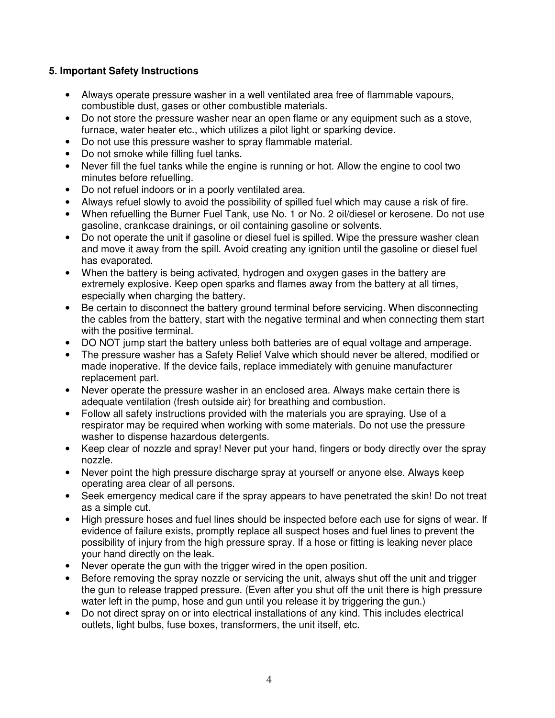# **5. Important Safety Instructions**

- Always operate pressure washer in a well ventilated area free of flammable vapours, combustible dust, gases or other combustible materials.
- Do not store the pressure washer near an open flame or any equipment such as a stove, furnace, water heater etc., which utilizes a pilot light or sparking device.
- Do not use this pressure washer to spray flammable material.
- Do not smoke while filling fuel tanks.
- Never fill the fuel tanks while the engine is running or hot. Allow the engine to cool two minutes before refuelling.
- Do not refuel indoors or in a poorly ventilated area.
- Always refuel slowly to avoid the possibility of spilled fuel which may cause a risk of fire.
- When refuelling the Burner Fuel Tank, use No. 1 or No. 2 oil/diesel or kerosene. Do not use gasoline, crankcase drainings, or oil containing gasoline or solvents.
- Do not operate the unit if gasoline or diesel fuel is spilled. Wipe the pressure washer clean and move it away from the spill. Avoid creating any ignition until the gasoline or diesel fuel has evaporated.
- When the battery is being activated, hydrogen and oxygen gases in the battery are extremely explosive. Keep open sparks and flames away from the battery at all times, especially when charging the battery.
- Be certain to disconnect the battery ground terminal before servicing. When disconnecting the cables from the battery, start with the negative terminal and when connecting them start with the positive terminal.
- DO NOT jump start the battery unless both batteries are of equal voltage and amperage.
- The pressure washer has a Safety Relief Valve which should never be altered, modified or made inoperative. If the device fails, replace immediately with genuine manufacturer replacement part.
- Never operate the pressure washer in an enclosed area. Always make certain there is adequate ventilation (fresh outside air) for breathing and combustion.
- Follow all safety instructions provided with the materials you are spraying. Use of a respirator may be required when working with some materials. Do not use the pressure washer to dispense hazardous detergents.
- Keep clear of nozzle and spray! Never put your hand, fingers or body directly over the spray nozzle.
- Never point the high pressure discharge spray at yourself or anyone else. Always keep operating area clear of all persons.
- Seek emergency medical care if the spray appears to have penetrated the skin! Do not treat as a simple cut.
- High pressure hoses and fuel lines should be inspected before each use for signs of wear. If evidence of failure exists, promptly replace all suspect hoses and fuel lines to prevent the possibility of injury from the high pressure spray. If a hose or fitting is leaking never place your hand directly on the leak.
- Never operate the gun with the trigger wired in the open position.
- Before removing the spray nozzle or servicing the unit, always shut off the unit and trigger the gun to release trapped pressure. (Even after you shut off the unit there is high pressure water left in the pump, hose and gun until you release it by triggering the gun.)
- Do not direct spray on or into electrical installations of any kind. This includes electrical outlets, light bulbs, fuse boxes, transformers, the unit itself, etc.